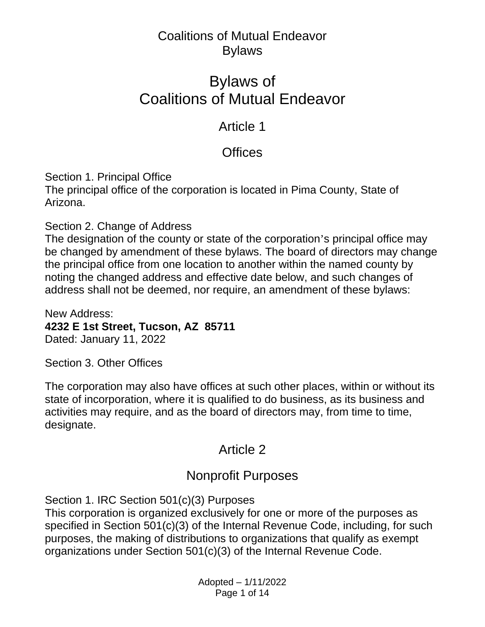# Bylaws of Coalitions of Mutual Endeavor

# Article 1

# **Offices Contract Contract Contract Contract Contract Contract Contract Contract Contract Contract Contract Contract Contract Contract Contract Contract Contract Contract Contract Contract Contract Contract Contract Cont**

Section 1. Principal Office

The principal office of the corporation is located in Pima County, State of Arizona.

### Section 2. Change of Address

The designation of the county or state of the corporation's principal office may be changed by amendment of these bylaws. The board of directors may change the principal office from one location to another within the named county by noting the changed address and effective date below, and such changes of address shall not be deemed, nor require, an amendment of these bylaws:

New Address: **4232 E 1st Street, Tucson, AZ 85711** Dated: January 11, 2022

Section 3. Other Offices

The corporation may also have offices at such other places, within or without its state of incorporation, where it is qualified to do business, as its business and activities may require, and as the board of directors may, from time to time, designate. The contract of the contract of the contract of the contract of the contract of the contract of the contract of the contract of the contract of the contract of the contract of the contract of the contract of the

# Article 2 and 2 and 2 and 2 and 2 and 2 and 2 and 2 and 2 and 2 and 2 and 2 and 2 and 2 and 2 and 2 and 2 and 2

# Nonprofit Purposes

Section 1. IRC Section 501(c)(3) Purposes

This corporation is organized exclusively for one or more of the purposes as specified in Section 501(c)(3) of the Internal Revenue Code, including, for such purposes, the making of distributions to organizations that qualify as exempt organizations under Section 501(c)(3) of the Internal Revenue Code.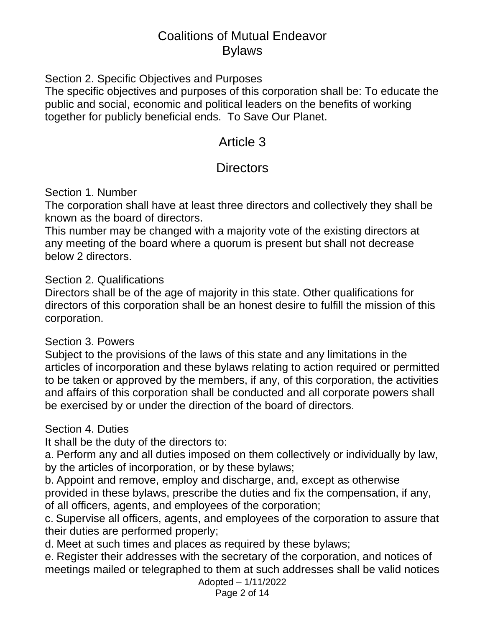Section 2. Specific Objectives and Purposes

The specific objectives and purposes of this corporation shall be: To educate the public and social, economic and political leaders on the benefits of working together for publicly beneficial ends. To Save Our Planet.

## Article 3 and 2008 and 2008 and 2008 and 2008 and 2008 and 2008 and 2008 and 2008 and 2008 and 2008 and 2008 a

# **Directors Directors**

Section 1. Number

The corporation shall have at least three directors and collectively they shall be known as the board of directors.

This number may be changed with a majority vote of the existing directors at any meeting of the board where a quorum is present but shall not decrease below 2 directors.

Section 2. Qualifications **Section 2. Qualifications** 

Directors shall be of the age of majority in this state. Other qualifications for directors of this corporation shall be an honest desire to fulfill the mission of this corporation.

#### Section 3. Powers **Section 3.** Powers **Section** 3. Powers **Section** 3. Powers **Section** 3.

Subject to the provisions of the laws of this state and any limitations in the articles of incorporation and these bylaws relating to action required or permitted to be taken or approved by the members, if any, of this corporation, the activities and affairs of this corporation shall be conducted and all corporate powers shall be exercised by or under the direction of the board of directors.

#### Section 4. Duties **Section 4.** Duties **Section 4.** Duties **Section 4.** Duties **Section 4.** Duties **Section 4.** Duties **Section 4.** Duties **Section 4.** Duties **Section 4.** Duties **Section 4.** Duties **Section 4.** Duties **Sec**

It shall be the duty of the directors to:

a. Perform any and all duties imposed on them collectively or individually by law, by the articles of incorporation, or by these bylaws;

b. Appoint and remove, employ and discharge, and, except as otherwise provided in these bylaws, prescribe the duties and fix the compensation, if any, of all officers, agents, and employees of the corporation;

c. Supervise all officers, agents, and employees of the corporation to assure that their duties are performed properly;

d. Meet at such times and places as required by these bylaws;

e. Register their addresses with the secretary of the corporation, and notices of meetings mailed or telegraphed to them at such addresses shall be valid notices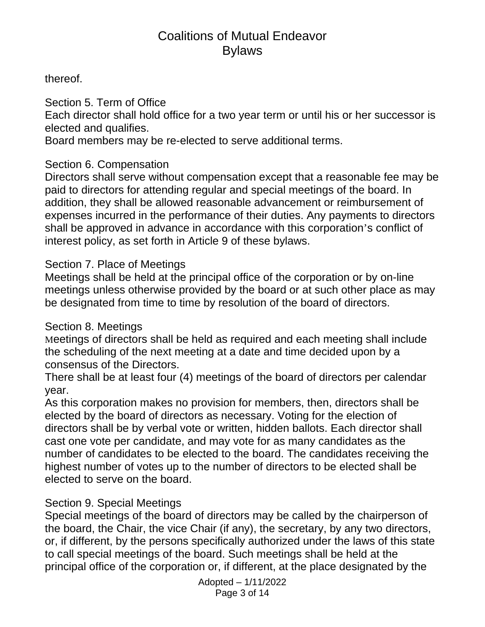thereof. The contract of the contract of the contract of the contract of the contract of the contract of the contract of the contract of the contract of the contract of the contract of the contract of the contract of the c

Section 5. Term of Office

Each director shall hold office for a two year term or until his or her successor is elected and qualifies.

Board members may be re-elected to serve additional terms.

### Section 6. Compensation

Directors shall serve without compensation except that a reasonable fee may be paid to directors for attending regular and special meetings of the board. In addition, they shall be allowed reasonable advancement or reimbursement of expenses incurred in the performance of their duties. Any payments to directors shall be approved in advance in accordance with this corporation's conflict of interest policy, as set forth in Article 9 of these bylaws.

#### Section 7. Place of Meetings

Meetings shall be held at the principal office of the corporation or by on-line meetings unless otherwise provided by the board or at such other place as may be designated from time to time by resolution of the board of directors.

#### Section 8. Meetings

Meetings of directors shall be held as required and each meeting shall include the scheduling of the next meeting at a date and time decided upon by a consensus of the Directors.

There shall be at least four (4) meetings of the board of directors per calendar year.

As this corporation makes no provision for members, then, directors shall be elected by the board of directors as necessary. Voting for the election of directors shall be by verbal vote or written, hidden ballots. Each director shall cast one vote per candidate, and may vote for as many candidates as the number of candidates to be elected to the board. The candidates receiving the highest number of votes up to the number of directors to be elected shall be elected to serve on the board.

### Section 9. Special Meetings

Special meetings of the board of directors may be called by the chairperson of the board, the Chair, the vice Chair (if any), the secretary, by any two directors, or, if different, by the persons specifically authorized under the laws of this state to call special meetings of the board. Such meetings shall be held at the principal office of the corporation or, if different, at the place designated by the

> Adopted – 1/11/2022 Page 3 of 14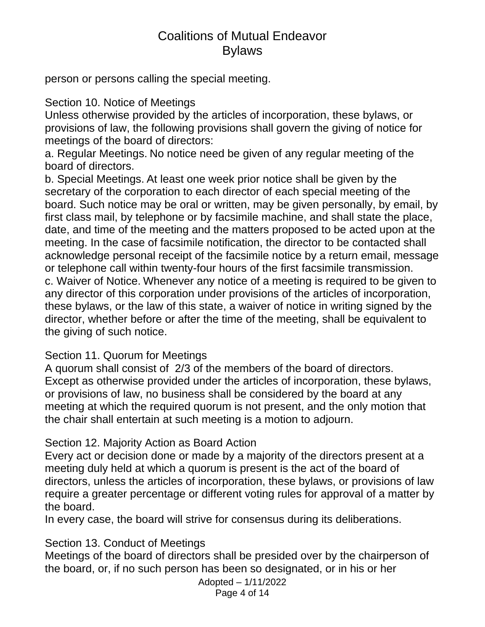person or persons calling the special meeting.

Section 10. Notice of Meetings

Unless otherwise provided by the articles of incorporation, these bylaws, or provisions of law, the following provisions shall govern the giving of notice for meetings of the board of directors:

a. Regular Meetings. No notice need be given of any regular meeting of the board of directors.

b. Special Meetings. At least one week prior notice shall be given by the secretary of the corporation to each director of each special meeting of the board. Such notice may be oral or written, may be given personally, by email, by first class mail, by telephone or by facsimile machine, and shall state the place, date, and time of the meeting and the matters proposed to be acted upon at the meeting. In the case of facsimile notification, the director to be contacted shall acknowledge personal receipt of the facsimile notice by a return email, message or telephone call within twenty-four hours of the first facsimile transmission. c. Waiver of Notice. Whenever any notice of a meeting is required to be given to any director of this corporation under provisions of the articles of incorporation, these bylaws, or the law of this state, a waiver of notice in writing signed by the director, whether before or after the time of the meeting, shall be equivalent to the giving of such notice.

#### Section 11. Quorum for Meetings

A quorum shall consist of 2/3 of the members of the board of directors. Except as otherwise provided under the articles of incorporation, these bylaws, or provisions of law, no business shall be considered by the board at any meeting at which the required quorum is not present, and the only motion that the chair shall entertain at such meeting is a motion to adjourn.

#### Section 12. Majority Action as Board Action

Every act or decision done or made by a majority of the directors present at a meeting duly held at which a quorum is present is the act of the board of directors, unless the articles of incorporation, these bylaws, or provisions of law require a greater percentage or different voting rules for approval of a matter by the board. The board of the state of the state of the state of the state of the state of the state of the state of the state of the state of the state of the state of the state of the state of the state of the state of the

In every case, the board will strive for consensus during its deliberations.

Section 13. Conduct of Meetings

Meetings of the board of directors shall be presided over by the chairperson of the board, or, if no such person has been so designated, or in his or her

Adopted – 1/11/2022 Page 4 of 14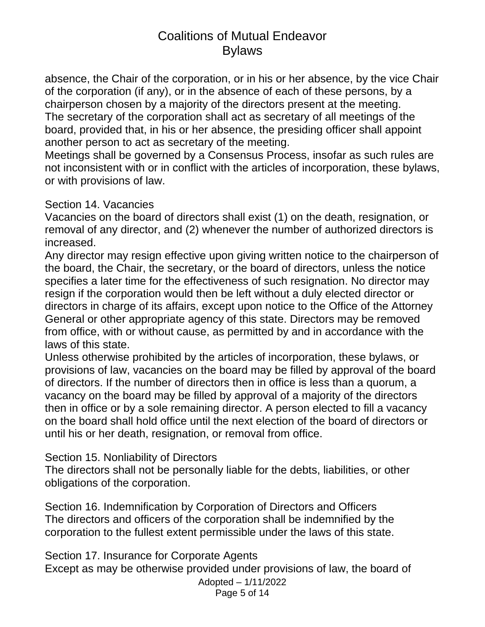absence, the Chair of the corporation, or in his or her absence, by the vice Chair of the corporation (if any), or in the absence of each of these persons, by a chairperson chosen by a majority of the directors present at the meeting. The secretary of the corporation shall act as secretary of all meetings of the board, provided that, in his or her absence, the presiding officer shall appoint another person to act as secretary of the meeting.

Meetings shall be governed by a Consensus Process, insofar as such rules are not inconsistent with or in conflict with the articles of incorporation, these bylaws, or with provisions of law.

Section 14. Vacancies

Vacancies on the board of directors shall exist (1) on the death, resignation, or removal of any director, and (2) whenever the number of authorized directors is increased.

Any director may resign effective upon giving written notice to the chairperson of the board, the Chair, the secretary, or the board of directors, unless the notice specifies a later time for the effectiveness of such resignation. No director may resign if the corporation would then be left without a duly elected director or directors in charge of its affairs, except upon notice to the Office of the Attorney General or other appropriate agency of this state. Directors may be removed from office, with or without cause, as permitted by and in accordance with the laws of this state.

Unless otherwise prohibited by the articles of incorporation, these bylaws, or provisions of law, vacancies on the board may be filled by approval of the board of directors. If the number of directors then in office is less than a quorum, a vacancy on the board may be filled by approval of a majority of the directors then in office or by a sole remaining director. A person elected to fill a vacancy on the board shall hold office until the next election of the board of directors or until his or her death, resignation, or removal from office.

#### Section 15. Nonliability of Directors

The directors shall not be personally liable for the debts, liabilities, or other obligations of the corporation.

Section 16. Indemnification by Corporation of Directors and Officers The directors and officers of the corporation shall be indemnified by the corporation to the fullest extent permissible under the laws of this state.

Section 17. Insurance for Corporate Agents Except as may be otherwise provided under provisions of law, the board of

Adopted – 1/11/2022 Page 5 of 14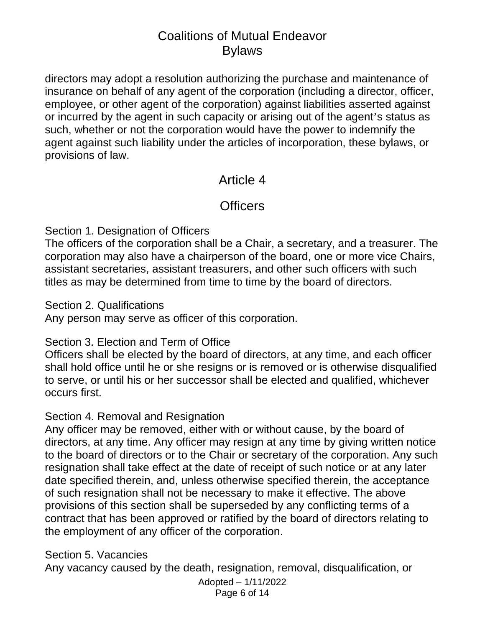directors may adopt a resolution authorizing the purchase and maintenance of insurance on behalf of any agent of the corporation (including a director, officer, employee, or other agent of the corporation) against liabilities asserted against or incurred by the agent in such capacity or arising out of the agent's status as such, whether or not the corporation would have the power to indemnify the agent against such liability under the articles of incorporation, these bylaws, or provisions of law.

### Article 4

### Officers **Officers Contract Contract Contract Contract Contract Contract Contract Contract Contract Contract Contract Contract Contract Contract Contract Contract Contract Contract Contract Contract Contract Contract Con**

Section 1. Designation of Officers

The officers of the corporation shall be a Chair, a secretary, and a treasurer. The corporation may also have a chairperson of the board, one or more vice Chairs, assistant secretaries, assistant treasurers, and other such officers with such titles as may be determined from time to time by the board of directors.

Section 2. Qualifications **Section 2. Qualifications** 

Any person may serve as officer of this corporation.

#### Section 3. Election and Term of Office

Officers shall be elected by the board of directors, at any time, and each officer shall hold office until he or she resigns or is removed or is otherwise disqualified to serve, or until his or her successor shall be elected and qualified, whichever occurs first.

#### Section 4. Removal and Resignation

Any officer may be removed, either with or without cause, by the board of directors, at any time. Any officer may resign at any time by giving written notice to the board of directors or to the Chair or secretary of the corporation. Any such resignation shall take effect at the date of receipt of such notice or at any later date specified therein, and, unless otherwise specified therein, the acceptance of such resignation shall not be necessary to make it effective. The above provisions of this section shall be superseded by any conflicting terms of a contract that has been approved or ratified by the board of directors relating to the employment of any officer of the corporation.

#### Section 5. Vacancies

Any vacancy caused by the death, resignation, removal, disqualification, or

Adopted – 1/11/2022 Page 6 of 14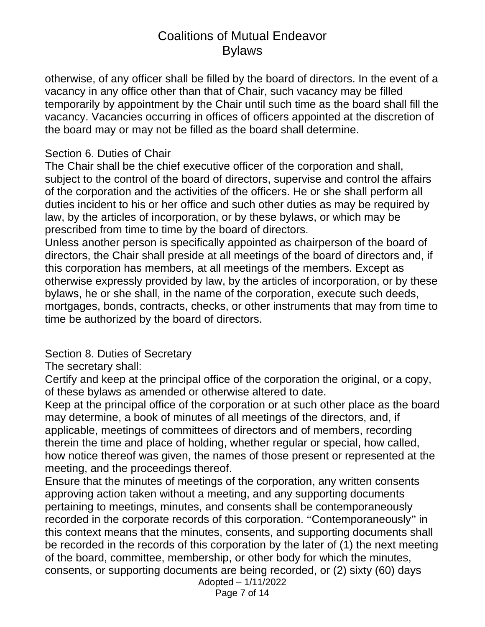otherwise, of any officer shall be filled by the board of directors. In the event of a vacancy in any office other than that of Chair, such vacancy may be filled temporarily by appointment by the Chair until such time as the board shall fill the vacancy. Vacancies occurring in offices of officers appointed at the discretion of the board may or may not be filled as the board shall determine.

#### Section 6. Duties of Chair

The Chair shall be the chief executive officer of the corporation and shall, subject to the control of the board of directors, supervise and control the affairs of the corporation and the activities of the officers. He or she shall perform all duties incident to his or her office and such other duties as may be required by law, by the articles of incorporation, or by these bylaws, or which may be prescribed from time to time by the board of directors.

Unless another person is specifically appointed as chairperson of the board of directors, the Chair shall preside at all meetings of the board of directors and, if this corporation has members, at all meetings of the members. Except as otherwise expressly provided by law, by the articles of incorporation, or by these bylaws, he or she shall, in the name of the corporation, execute such deeds, mortgages, bonds, contracts, checks, or other instruments that may from time to time be authorized by the board of directors.

#### Section 8. Duties of Secretary

The secretary shall:

Certify and keep at the principal office of the corporation the original, or a copy, of these bylaws as amended or otherwise altered to date.

Keep at the principal office of the corporation or at such other place as the board may determine, a book of minutes of all meetings of the directors, and, if applicable, meetings of committees of directors and of members, recording therein the time and place of holding, whether regular or special, how called, how notice thereof was given, the names of those present or represented at the meeting, and the proceedings thereof.

Ensure that the minutes of meetings of the corporation, any written consents approving action taken without a meeting, and any supporting documents pertaining to meetings, minutes, and consents shall be contemporaneously recorded in the corporate records of this corporation. "Contemporaneously" in this context means that the minutes, consents, and supporting documents shall be recorded in the records of this corporation by the later of (1) the next meeting of the board, committee, membership, or other body for which the minutes, consents, or supporting documents are being recorded, or (2) sixty (60) days

Adopted – 1/11/2022 Page 7 of 14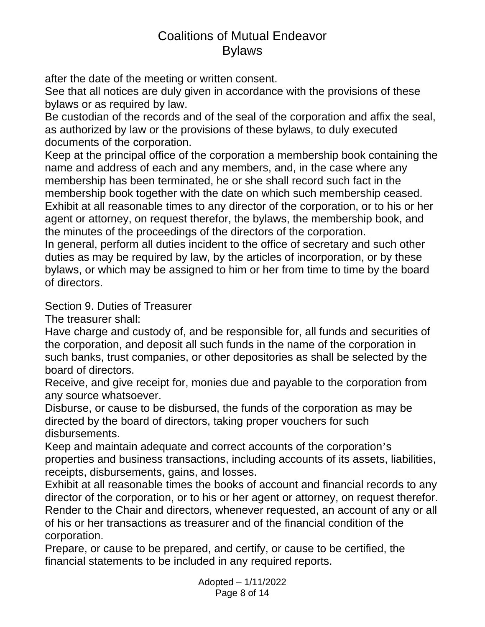after the date of the meeting or written consent.

See that all notices are duly given in accordance with the provisions of these bylaws or as required by law.

Be custodian of the records and of the seal of the corporation and affix the seal, as authorized by law or the provisions of these bylaws, to duly executed documents of the corporation.

Keep at the principal office of the corporation a membership book containing the name and address of each and any members, and, in the case where any membership has been terminated, he or she shall record such fact in the membership book together with the date on which such membership ceased. Exhibit at all reasonable times to any director of the corporation, or to his or her agent or attorney, on request therefor, the bylaws, the membership book, and the minutes of the proceedings of the directors of the corporation.

In general, perform all duties incident to the office of secretary and such other duties as may be required by law, by the articles of incorporation, or by these bylaws, or which may be assigned to him or her from time to time by the board of directors. The contract of the contract of the contract of the contract of the contract of the contract of the contract of the contract of the contract of the contract of the contract of the contract of the contract of

Section 9. Duties of Treasurer

The treasurer shall:

Have charge and custody of, and be responsible for, all funds and securities of the corporation, and deposit all such funds in the name of the corporation in such banks, trust companies, or other depositories as shall be selected by the board of directors.

Receive, and give receipt for, monies due and payable to the corporation from any source whatsoever.

Disburse, or cause to be disbursed, the funds of the corporation as may be directed by the board of directors, taking proper vouchers for such disbursements.

Keep and maintain adequate and correct accounts of the corporation's properties and business transactions, including accounts of its assets, liabilities, receipts, disbursements, gains, and losses.

Exhibit at all reasonable times the books of account and financial records to any director of the corporation, or to his or her agent or attorney, on request therefor. Render to the Chair and directors, whenever requested, an account of any or all of his or her transactions as treasurer and of the financial condition of the corporation.

Prepare, or cause to be prepared, and certify, or cause to be certified, the financial statements to be included in any required reports.

> Adopted – 1/11/2022 Page 8 of 14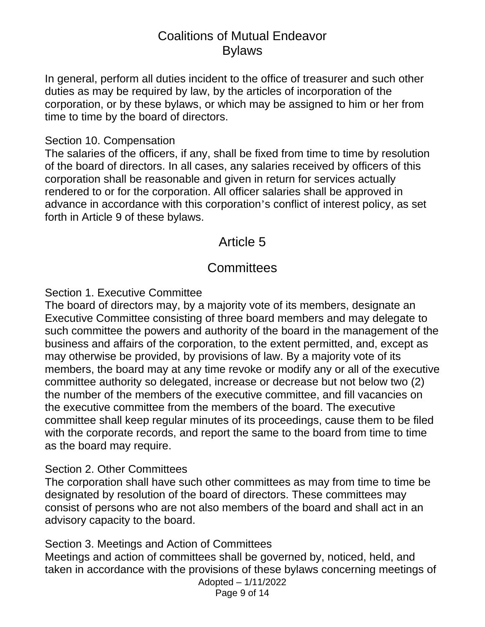In general, perform all duties incident to the office of treasurer and such other duties as may be required by law, by the articles of incorporation of the corporation, or by these bylaws, or which may be assigned to him or her from time to time by the board of directors.

#### Section 10. Compensation

The salaries of the officers, if any, shall be fixed from time to time by resolution of the board of directors. In all cases, any salaries received by officers of this corporation shall be reasonable and given in return for services actually rendered to or for the corporation. All officer salaries shall be approved in advance in accordance with this corporation's conflict of interest policy, as set forth in Article 9 of these bylaws.

# Article 5 and 2008 and 2008 and 2008 and 2008 and 2008 and 2008 and 2008 and 2008 and 2008 and 2008 and 2008 a

# Committees

#### Section 1. Executive Committee

The board of directors may, by a majority vote of its members, designate an Executive Committee consisting of three board members and may delegate to such committee the powers and authority of the board in the management of the business and affairs of the corporation, to the extent permitted, and, except as may otherwise be provided, by provisions of law. By a majority vote of its members, the board may at any time revoke or modify any or all of the executive committee authority so delegated, increase or decrease but not below two (2) the number of the members of the executive committee, and fill vacancies on the executive committee from the members of the board. The executive committee shall keep regular minutes of its proceedings, cause them to be filed with the corporate records, and report the same to the board from time to time as the board may require.

#### Section 2. Other Committees

The corporation shall have such other committees as may from time to time be designated by resolution of the board of directors. These committees may consist of persons who are not also members of the board and shall act in an advisory capacity to the board.

Section 3. Meetings and Action of Committees

Adopted – 1/11/2022 Page 9 of 14 and 20 and 20 and 20 and 20 and 20 and 20 and 20 and 20 and 20 and 20 and 20 and 20 and 20 and 20 Meetings and action of committees shall be governed by, noticed, held, and taken in accordance with the provisions of these bylaws concerning meetings of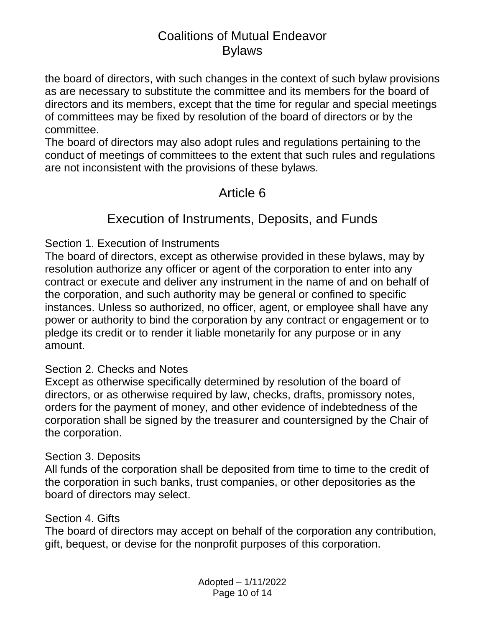the board of directors, with such changes in the context of such bylaw provisions as are necessary to substitute the committee and its members for the board of directors and its members, except that the time for regular and special meetings of committees may be fixed by resolution of the board of directors or by the committee.

The board of directors may also adopt rules and regulations pertaining to the conduct of meetings of committees to the extent that such rules and regulations are not inconsistent with the provisions of these bylaws.

# Article 6

## Execution of Instruments, Deposits, and Funds

Section 1. Execution of Instruments

The board of directors, except as otherwise provided in these bylaws, may by resolution authorize any officer or agent of the corporation to enter into any contract or execute and deliver any instrument in the name of and on behalf of the corporation, and such authority may be general or confined to specific instances. Unless so authorized, no officer, agent, or employee shall have any power or authority to bind the corporation by any contract or engagement or to pledge its credit or to render it liable monetarily for any purpose or in any amount.

#### Section 2. Checks and Notes

Except as otherwise specifically determined by resolution of the board of directors, or as otherwise required by law, checks, drafts, promissory notes, orders for the payment of money, and other evidence of indebtedness of the corporation shall be signed by the treasurer and countersigned by the Chair of the corporation.

#### Section 3. Deposits

All funds of the corporation shall be deposited from time to time to the credit of the corporation in such banks, trust companies, or other depositories as the board of directors may select.

#### Section 4. Gifts

The board of directors may accept on behalf of the corporation any contribution, gift, bequest, or devise for the nonprofit purposes of this corporation.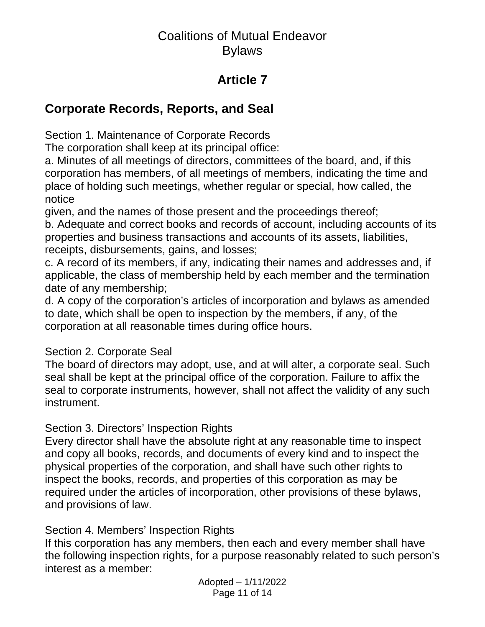# **Article 7**

## **Corporate Records, Reports, and Seal**

Section 1. Maintenance of Corporate Records

The corporation shall keep at its principal office:

a. Minutes of all meetings of directors, committees of the board, and, if this corporation has members, of all meetings of members, indicating the time and place of holding such meetings, whether regular or special, how called, the notice that is a contract of the contract of the contract of the contract of the contract of the contract of the contract of the contract of the contract of the contract of the contract of the contract of the contract of t

given, and the names of those present and the proceedings thereof;

b. Adequate and correct books and records of account, including accounts of its properties and business transactions and accounts of its assets, liabilities, receipts, disbursements, gains, and losses;

c. A record of its members, if any, indicating their names and addresses and, if applicable, the class of membership held by each member and the termination date of any membership;

d. A copy of the corporation's articles of incorporation and bylaws as amended to date, which shall be open to inspection by the members, if any, of the corporation at all reasonable times during office hours.

#### Section 2. Corporate Seal

The board of directors may adopt, use, and at will alter, a corporate seal. Such seal shall be kept at the principal office of the corporation. Failure to affix the seal to corporate instruments, however, shall not affect the validity of any such instrument.

Section 3. Directors' Inspection Rights

Every director shall have the absolute right at any reasonable time to inspect and copy all books, records, and documents of every kind and to inspect the physical properties of the corporation, and shall have such other rights to inspect the books, records, and properties of this corporation as may be required under the articles of incorporation, other provisions of these bylaws, and provisions of law.

#### Section 4. Members' Inspection Rights

If this corporation has any members, then each and every member shall have the following inspection rights, for a purpose reasonably related to such person's interest as a member:

> Adopted – 1/11/2022 Page 11 of 14 and 20 and 20 and 20 and 20 and 20 and 20 and 20 and 20 and 20 and 20 and 20 and 20 and 20 and 20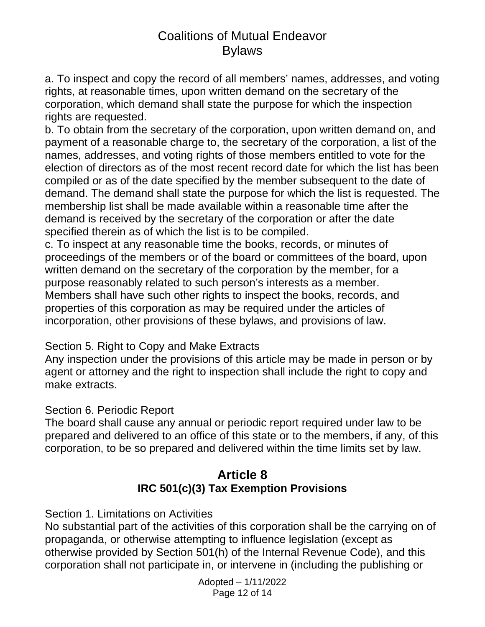a. To inspect and copy the record of all members' names, addresses, and voting rights, at reasonable times, upon written demand on the secretary of the corporation, which demand shall state the purpose for which the inspection rights are requested.

b. To obtain from the secretary of the corporation, upon written demand on, and payment of a reasonable charge to, the secretary of the corporation, a list of the names, addresses, and voting rights of those members entitled to vote for the election of directors as of the most recent record date for which the list has been compiled or as of the date specified by the member subsequent to the date of demand. The demand shall state the purpose for which the list is requested. The membership list shall be made available within a reasonable time after the demand is received by the secretary of the corporation or after the date specified therein as of which the list is to be compiled.

c. To inspect at any reasonable time the books, records, or minutes of proceedings of the members or of the board or committees of the board, upon written demand on the secretary of the corporation by the member, for a purpose reasonably related to such person's interests as a member. Members shall have such other rights to inspect the books, records, and properties of this corporation as may be required under the articles of incorporation, other provisions of these bylaws, and provisions of law.

#### Section 5. Right to Copy and Make Extracts

Any inspection under the provisions of this article may be made in person or by agent or attorney and the right to inspection shall include the right to copy and make extracts.

#### Section 6. Periodic Report

The board shall cause any annual or periodic report required under law to be prepared and delivered to an office of this state or to the members, if any, of this corporation, to be so prepared and delivered within the time limits set by law.

### **Article 8 IRC 501(c)(3) Tax Exemption Provisions**

Section 1. Limitations on Activities

No substantial part of the activities of this corporation shall be the carrying on of propaganda, or otherwise attempting to influence legislation (except as otherwise provided by Section 501(h) of the Internal Revenue Code), and this corporation shall not participate in, or intervene in (including the publishing or

> Adopted – 1/11/2022 Page 12 of 14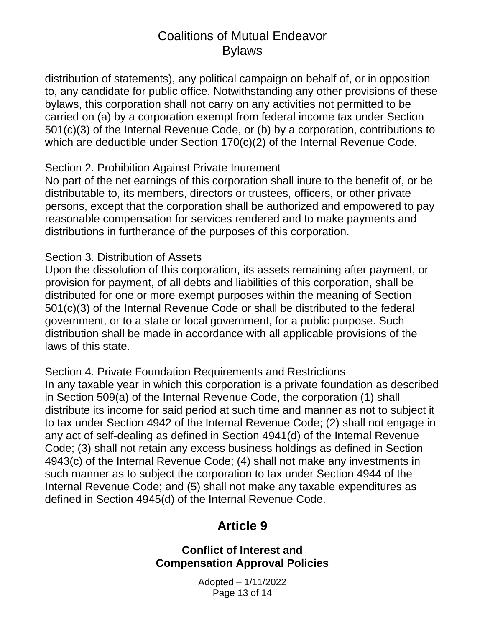distribution of statements), any political campaign on behalf of, or in opposition to, any candidate for public office. Notwithstanding any other provisions of these bylaws, this corporation shall not carry on any activities not permitted to be carried on (a) by a corporation exempt from federal income tax under Section 501(c)(3) of the Internal Revenue Code, or (b) by a corporation, contributions to which are deductible under Section 170(c)(2) of the Internal Revenue Code.

#### Section 2. Prohibition Against Private Inurement

No part of the net earnings of this corporation shall inure to the benefit of, or be distributable to, its members, directors or trustees, officers, or other private persons, except that the corporation shall be authorized and empowered to pay reasonable compensation for services rendered and to make payments and distributions in furtherance of the purposes of this corporation.

#### Section 3. Distribution of Assets

Upon the dissolution of this corporation, its assets remaining after payment, or provision for payment, of all debts and liabilities of this corporation, shall be distributed for one or more exempt purposes within the meaning of Section 501(c)(3) of the Internal Revenue Code or shall be distributed to the federal government, or to a state or local government, for a public purpose. Such distribution shall be made in accordance with all applicable provisions of the laws of this state.

Section 4. Private Foundation Requirements and Restrictions In any taxable year in which this corporation is a private foundation as described in Section 509(a) of the Internal Revenue Code, the corporation (1) shall distribute its income for said period at such time and manner as not to subject it to tax under Section 4942 of the Internal Revenue Code; (2) shall not engage in any act of self-dealing as defined in Section 4941(d) of the Internal Revenue Code; (3) shall not retain any excess business holdings as defined in Section 4943(c) of the Internal Revenue Code; (4) shall not make any investments in such manner as to subject the corporation to tax under Section 4944 of the Internal Revenue Code; and (5) shall not make any taxable expenditures as defined in Section 4945(d) of the Internal Revenue Code.

# **Article 9**

#### **Conflict of Interest and Compensation Approval Policies**

Adopted – 1/11/2022 Page 13 of 14